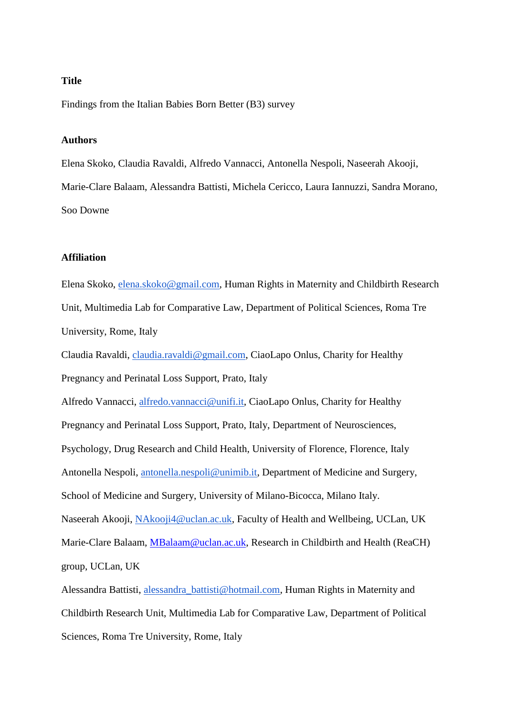### **Title**

Findings from the Italian Babies Born Better (B3) survey

### **Authors**

Elena Skoko, Claudia Ravaldi, Alfredo Vannacci, Antonella Nespoli, Naseerah Akooji, Marie-Clare Balaam, Alessandra Battisti, Michela Cericco, Laura Iannuzzi, Sandra Morano, Soo Downe

### **Affiliation**

Elena Skoko, [elena.skoko@gmail.com,](mailto:elena.skoko@gmail.com) Human Rights in Maternity and Childbirth Research Unit, Multimedia Lab for Comparative Law, Department of Political Sciences, Roma Tre University, Rome, Italy

Claudia Ravaldi, [claudia.ravaldi@gmail.com,](mailto:claudia.ravaldi@gmail.com) CiaoLapo Onlus, Charity for Healthy Pregnancy and Perinatal Loss Support, Prato, Italy

Alfredo Vannacci, [alfredo.vannacci@unifi.it,](mailto:alfredo.vannacci@unifi.it) CiaoLapo Onlus, Charity for Healthy Pregnancy and Perinatal Loss Support, Prato, Italy, Department of Neurosciences, Psychology, Drug Research and Child Health, University of Florence, Florence, Italy Antonella Nespoli, [antonella.nespoli@unimib.it,](mailto:antonella.nespoli@unimib.it) Department of Medicine and Surgery, School of Medicine and Surgery, University of Milano-Bicocca, Milano Italy. Naseerah Akooji, [NAkooji4@uclan.ac.uk,](mailto:NAkooji4@uclan.ac.uk) Faculty of Health and Wellbeing, UCLan, UK Marie-Clare Balaam, [MBalaam@uclan.ac.uk,](mailto:MBalaam@uclan.ac.uk) Research in Childbirth and Health (ReaCH) group, UCLan, UK

Alessandra Battisti, [alessandra\\_battisti@hotmail.com,](mailto:alessandra_battisti@hotmail.com) Human Rights in Maternity and Childbirth Research Unit, Multimedia Lab for Comparative Law, Department of Political Sciences, Roma Tre University, Rome, Italy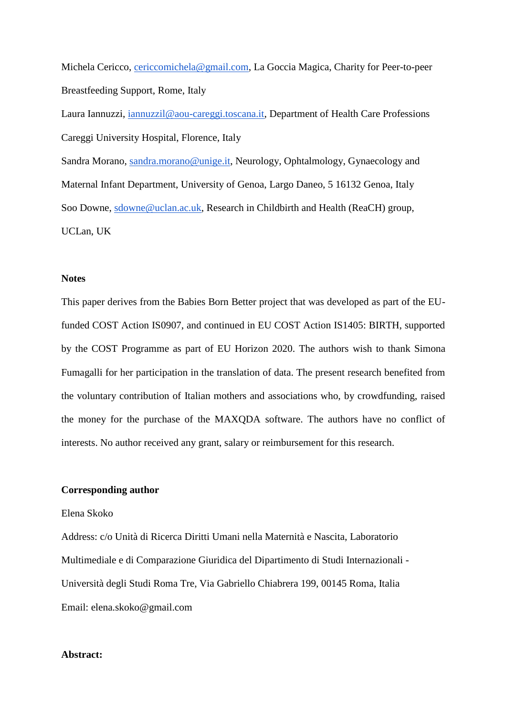Michela Cericco, [cericcomichela@gmail.com,](mailto:cericcomichela@gmail.com) La Goccia Magica, Charity for Peer-to-peer Breastfeeding Support, Rome, Italy

Laura Iannuzzi, [iannuzzil@aou-careggi.toscana.it,](mailto:iannuzzil@aou-careggi.toscana.it) Department of Health Care Professions Careggi University Hospital, Florence, Italy

Sandra Morano, [sandra.morano@unige.it,](mailto:sandra.morano@unige.it) Neurology, Ophtalmology, Gynaecology and Maternal Infant Department, University of Genoa, Largo Daneo, 5 16132 Genoa, Italy Soo Downe, [sdowne@uclan.ac.uk,](mailto:sdowne@uclan.ac.uk) Research in Childbirth and Health (ReaCH) group, UCLan, UK

#### **Notes**

This paper derives from the Babies Born Better project that was developed as part of the EUfunded COST Action IS0907, and continued in EU COST Action IS1405: BIRTH, supported by the COST Programme as part of EU Horizon 2020. The authors wish to thank Simona Fumagalli for her participation in the translation of data. The present research benefited from the voluntary contribution of Italian mothers and associations who, by crowdfunding, raised the money for the purchase of the MAXQDA software. The authors have no conflict of interests. No author received any grant, salary or reimbursement for this research.

### **Corresponding author**

#### Elena Skoko

Address: c/o Unità di Ricerca Diritti Umani nella Maternità e Nascita, Laboratorio Multimediale e di Comparazione Giuridica del Dipartimento di Studi Internazionali - Università degli Studi Roma Tre, Via Gabriello Chiabrera 199, 00145 Roma, Italia Email: elena.skoko@gmail.com

### **Abstract:**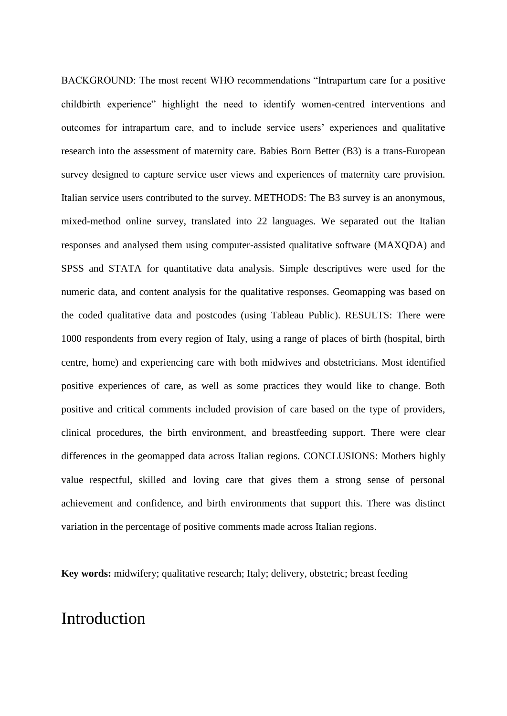BACKGROUND: The most recent WHO recommendations "Intrapartum care for a positive childbirth experience" highlight the need to identify women-centred interventions and outcomes for intrapartum care, and to include service users' experiences and qualitative research into the assessment of maternity care. Babies Born Better (B3) is a trans-European survey designed to capture service user views and experiences of maternity care provision. Italian service users contributed to the survey. METHODS: The B3 survey is an anonymous, mixed-method online survey, translated into 22 languages. We separated out the Italian responses and analysed them using computer-assisted qualitative software (MAXQDA) and SPSS and STATA for quantitative data analysis. Simple descriptives were used for the numeric data, and content analysis for the qualitative responses. Geomapping was based on the coded qualitative data and postcodes (using Tableau Public). RESULTS: There were 1000 respondents from every region of Italy, using a range of places of birth (hospital, birth centre, home) and experiencing care with both midwives and obstetricians. Most identified positive experiences of care, as well as some practices they would like to change. Both positive and critical comments included provision of care based on the type of providers, clinical procedures, the birth environment, and breastfeeding support. There were clear differences in the geomapped data across Italian regions. CONCLUSIONS: Mothers highly value respectful, skilled and loving care that gives them a strong sense of personal achievement and confidence, and birth environments that support this. There was distinct variation in the percentage of positive comments made across Italian regions.

**Key words:** midwifery; qualitative research; Italy; delivery, obstetric; breast feeding

## Introduction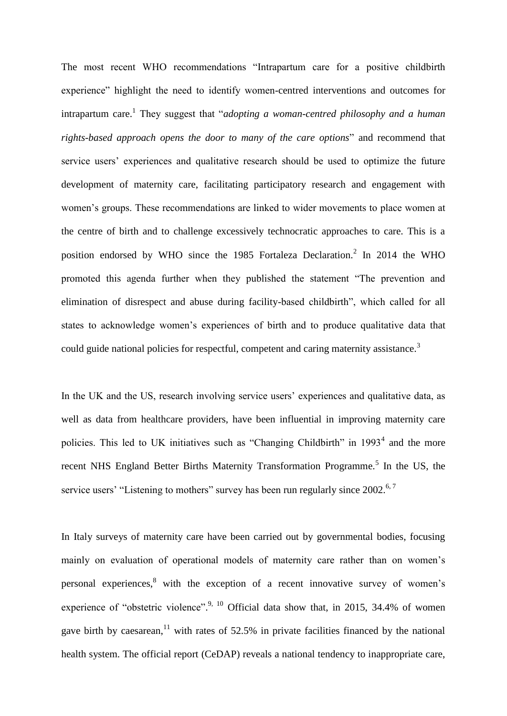The most recent WHO recommendations "Intrapartum care for a positive childbirth experience" highlight the need to identify women-centred interventions and outcomes for intrapartum care.<sup>1</sup> They suggest that "*adopting a woman-centred philosophy and a human rights-based approach opens the door to many of the care options*" and recommend that service users' experiences and qualitative research should be used to optimize the future development of maternity care, facilitating participatory research and engagement with women's groups. These recommendations are linked to wider movements to place women at the centre of birth and to challenge excessively technocratic approaches to care. This is a position endorsed by WHO since the 1985 Fortaleza Declaration.<sup>2</sup> In 2014 the WHO promoted this agenda further when they published the statement "The prevention and elimination of disrespect and abuse during facility-based childbirth", which called for all states to acknowledge women's experiences of birth and to produce qualitative data that could guide national policies for respectful, competent and caring maternity assistance.<sup>3</sup>

In the UK and the US, research involving service users' experiences and qualitative data, as well as data from healthcare providers, have been influential in improving maternity care policies. This led to UK initiatives such as "Changing Childbirth" in  $1993<sup>4</sup>$  and the more recent NHS England Better Births Maternity Transformation Programme.<sup>5</sup> In the US, the service users' "Listening to mothers" survey has been run regularly since  $2002$ .<sup>6,7</sup>

In Italy surveys of maternity care have been carried out by governmental bodies, focusing mainly on evaluation of operational models of maternity care rather than on women's personal experiences,<sup>8</sup> with the exception of a recent innovative survey of women's experience of "obstetric violence".<sup>9, 10</sup> Official data show that, in 2015, 34.4% of women gave birth by caesarean, <sup>11</sup> with rates of 52.5% in private facilities financed by the national health system. The official report (CeDAP) reveals a national tendency to inappropriate care,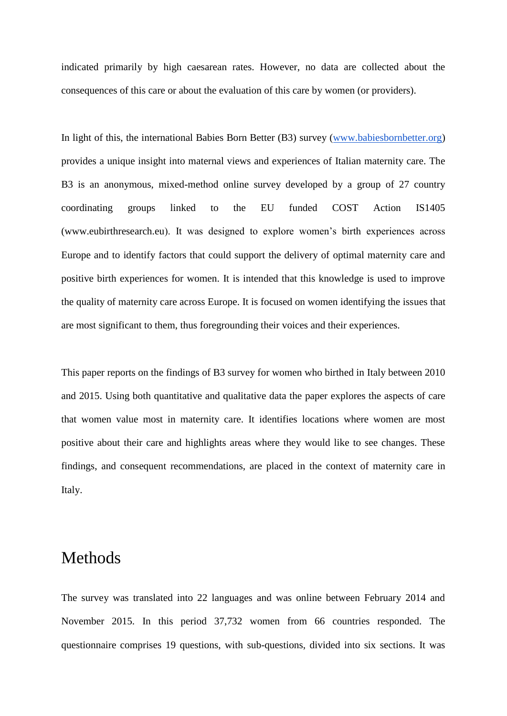indicated primarily by high caesarean rates. However, no data are collected about the consequences of this care or about the evaluation of this care by women (or providers).

In light of this, the international Babies Born Better (B3) survey [\(www.babiesbornbetter.org\)](http://www.babiesbornbetter.org/) provides a unique insight into maternal views and experiences of Italian maternity care. The B3 is an anonymous, mixed-method online survey developed by a group of 27 country coordinating groups linked to the EU funded COST Action IS1405 (www[.eubirthresearch.eu\)](https://eubirthresearch.eu/). It was designed to explore women's birth experiences across Europe and to identify factors that could support the delivery of optimal maternity care and positive birth experiences for women. It is intended that this knowledge is used to improve the quality of maternity care across Europe. It is focused on women identifying the issues that are most significant to them, thus foregrounding their voices and their experiences.

This paper reports on the findings of B3 survey for women who birthed in Italy between 2010 and 2015. Using both quantitative and qualitative data the paper explores the aspects of care that women value most in maternity care. It identifies locations where women are most positive about their care and highlights areas where they would like to see changes. These findings, and consequent recommendations, are placed in the context of maternity care in Italy.

# Methods

The survey was translated into 22 languages and was online between February 2014 and November 2015. In this period 37,732 women from 66 countries responded. The questionnaire comprises 19 questions, with sub-questions, divided into six sections. It was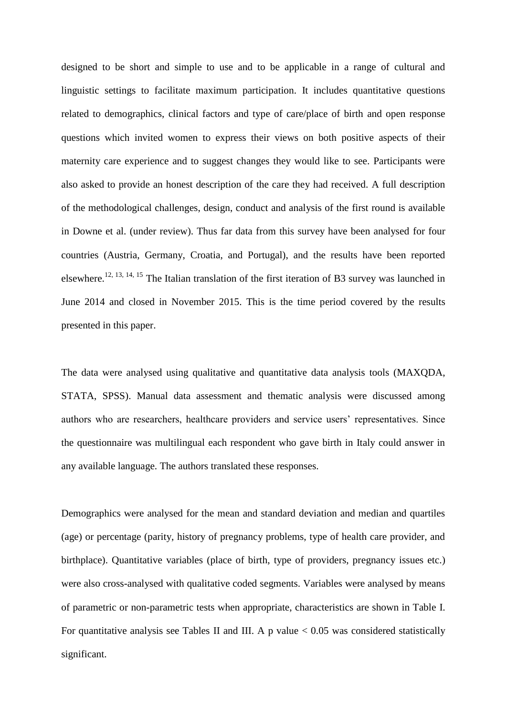designed to be short and simple to use and to be applicable in a range of cultural and linguistic settings to facilitate maximum participation. It includes quantitative questions related to demographics, clinical factors and type of care/place of birth and open response questions which invited women to express their views on both positive aspects of their maternity care experience and to suggest changes they would like to see. Participants were also asked to provide an honest description of the care they had received. A full description of the methodological challenges, design, conduct and analysis of the first round is available in Downe et al. (under review). Thus far data from this survey have been analysed for four countries (Austria, Germany, Croatia, and Portugal), and the results have been reported elsewhere.<sup>12, 13, 14, 15</sup> The Italian translation of the first iteration of B3 survey was launched in June 2014 and closed in November 2015. This is the time period covered by the results presented in this paper.

The data were analysed using qualitative and quantitative data analysis tools (MAXQDA, STATA, SPSS). Manual data assessment and thematic analysis were discussed among authors who are researchers, healthcare providers and service users' representatives. Since the questionnaire was multilingual each respondent who gave birth in Italy could answer in any available language. The authors translated these responses.

Demographics were analysed for the mean and standard deviation and median and quartiles (age) or percentage (parity, history of pregnancy problems, type of health care provider, and birthplace). Quantitative variables (place of birth, type of providers, pregnancy issues etc.) were also cross-analysed with qualitative coded segments. Variables were analysed by means of parametric or non-parametric tests when appropriate, characteristics are shown in Table I. For quantitative analysis see Tables II and III. A p value  $< 0.05$  was considered statistically significant.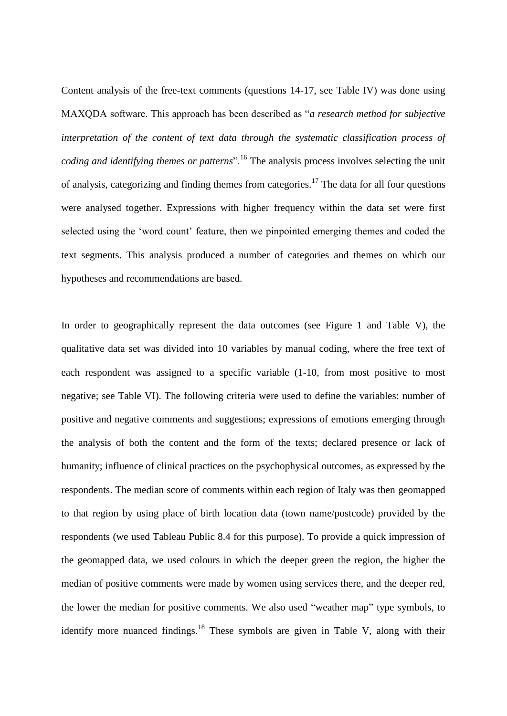Content analysis of the free-text comments (questions 14-17, see Table IV) was done using MAXQDA software. This approach has been described as "*a research method for subjective interpretation of the content of text data through the systematic classification process of coding and identifying themes or patterns*".<sup>16</sup> The analysis process involves selecting the unit of analysis, categorizing and finding themes from categories.<sup>17</sup> The data for all four questions were analysed together. Expressions with higher frequency within the data set were first selected using the 'word count' feature, then we pinpointed emerging themes and coded the text segments. This analysis produced a number of categories and themes on which our hypotheses and recommendations are based.

In order to geographically represent the data outcomes (see Figure 1 and Table V), the qualitative data set was divided into 10 variables by manual coding, where the free text of each respondent was assigned to a specific variable (1-10, from most positive to most negative; see Table VI). The following criteria were used to define the variables: number of positive and negative comments and suggestions; expressions of emotions emerging through the analysis of both the content and the form of the texts; declared presence or lack of humanity; influence of clinical practices on the psychophysical outcomes, as expressed by the respondents. The median score of comments within each region of Italy was then geomapped to that region by using place of birth location data (town name/postcode) provided by the respondents (we used Tableau Public 8.4 for this purpose). To provide a quick impression of the geomapped data, we used colours in which the deeper green the region, the higher the median of positive comments were made by women using services there, and the deeper red, the lower the median for positive comments. We also used "weather map" type symbols, to identify more nuanced findings. $18$  These symbols are given in Table V, along with their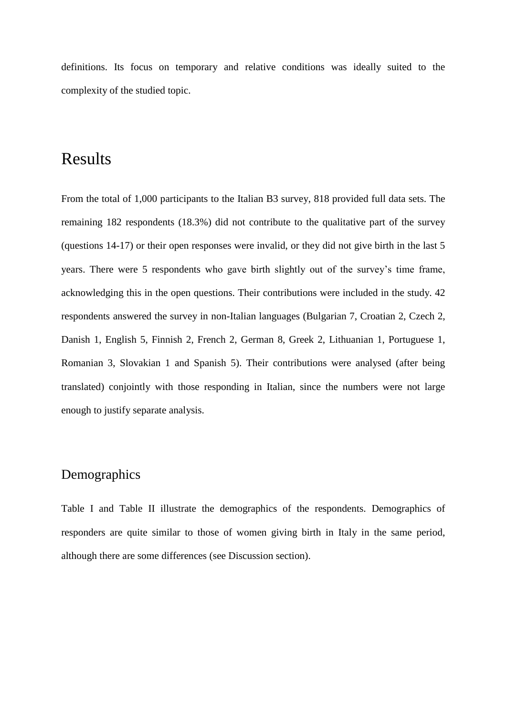definitions. Its focus on temporary and relative conditions was ideally suited to the complexity of the studied topic.

# Results

From the total of 1,000 participants to the Italian B3 survey, 818 provided full data sets. The remaining 182 respondents (18.3%) did not contribute to the qualitative part of the survey (questions 14-17) or their open responses were invalid, or they did not give birth in the last 5 years. There were 5 respondents who gave birth slightly out of the survey's time frame, acknowledging this in the open questions. Their contributions were included in the study. 42 respondents answered the survey in non-Italian languages (Bulgarian 7, Croatian 2, Czech 2, Danish 1, English 5, Finnish 2, French 2, German 8, Greek 2, Lithuanian 1, Portuguese 1, Romanian 3, Slovakian 1 and Spanish 5). Their contributions were analysed (after being translated) conjointly with those responding in Italian, since the numbers were not large enough to justify separate analysis.

## Demographics

Table I and Table II illustrate the demographics of the respondents. Demographics of responders are quite similar to those of women giving birth in Italy in the same period, although there are some differences (see Discussion section).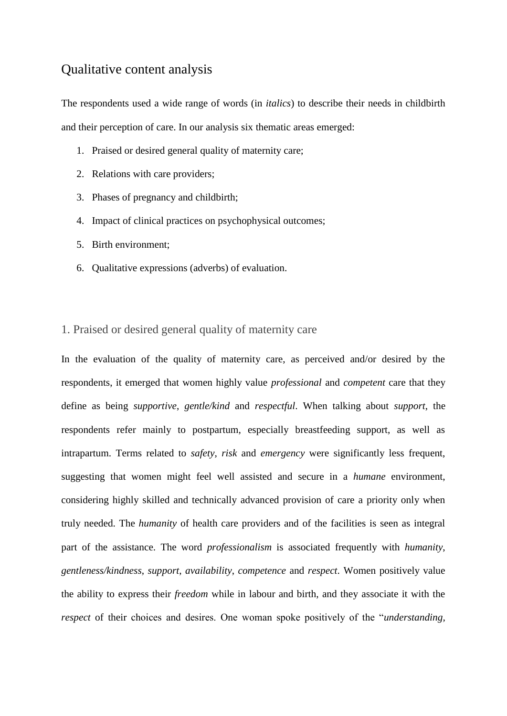## Qualitative content analysis

The respondents used a wide range of words (in *italics*) to describe their needs in childbirth and their perception of care. In our analysis six thematic areas emerged:

- 1. Praised or desired general quality of maternity care;
- 2. Relations with care providers;
- 3. Phases of pregnancy and childbirth;
- 4. Impact of clinical practices on psychophysical outcomes;
- 5. Birth environment;
- 6. Qualitative expressions (adverbs) of evaluation.

### 1. Praised or desired general quality of maternity care

In the evaluation of the quality of maternity care, as perceived and/or desired by the respondents, it emerged that women highly value *professional* and *competent* care that they define as being *supportive*, *gentle/kind* and *respectful*. When talking about *support*, the respondents refer mainly to postpartum, especially breastfeeding support, as well as intrapartum. Terms related to *safety*, *risk* and *emergency* were significantly less frequent, suggesting that women might feel well assisted and secure in a *humane* environment, considering highly skilled and technically advanced provision of care a priority only when truly needed. The *humanity* of health care providers and of the facilities is seen as integral part of the assistance. The word *professionalism* is associated frequently with *humanity*, *gentleness/kindness*, *support*, *availability*, *competence* and *respect*. Women positively value the ability to express their *freedom* while in labour and birth, and they associate it with the *respect* of their choices and desires. One woman spoke positively of the "*understanding,*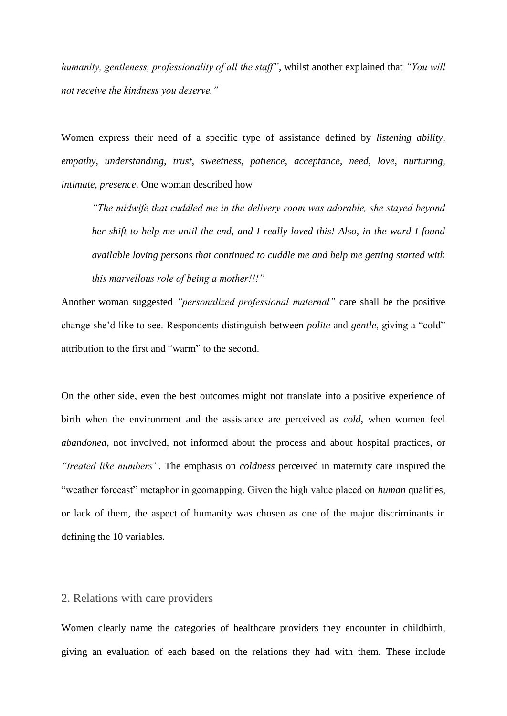*humanity, gentleness, professionality of all the staff"*, whilst another explained that *"You will not receive the kindness you deserve."*

Women express their need of a specific type of assistance defined by *listening ability*, *empathy*, *understanding*, *trust*, *sweetness*, *patience*, *acceptance*, *need*, *love*, *nurturing*, *intimate*, *presence*. One woman described how

*"The midwife that cuddled me in the delivery room was adorable, she stayed beyond her shift to help me until the end, and I really loved this! Also, in the ward I found available loving persons that continued to cuddle me and help me getting started with this marvellous role of being a mother!!!"* 

Another woman suggested *"personalized professional maternal"* care shall be the positive change she'd like to see. Respondents distinguish between *polite* and *gentle*, giving a "cold" attribution to the first and "warm" to the second.

On the other side, even the best outcomes might not translate into a positive experience of birth when the environment and the assistance are perceived as *cold*, when women feel *abandoned*, not involved, not informed about the process and about hospital practices, or *"treated like numbers"*. The emphasis on *coldness* perceived in maternity care inspired the "weather forecast" metaphor in geomapping. Given the high value placed on *human* qualities, or lack of them, the aspect of humanity was chosen as one of the major discriminants in defining the 10 variables.

### 2. Relations with care providers

Women clearly name the categories of healthcare providers they encounter in childbirth, giving an evaluation of each based on the relations they had with them. These include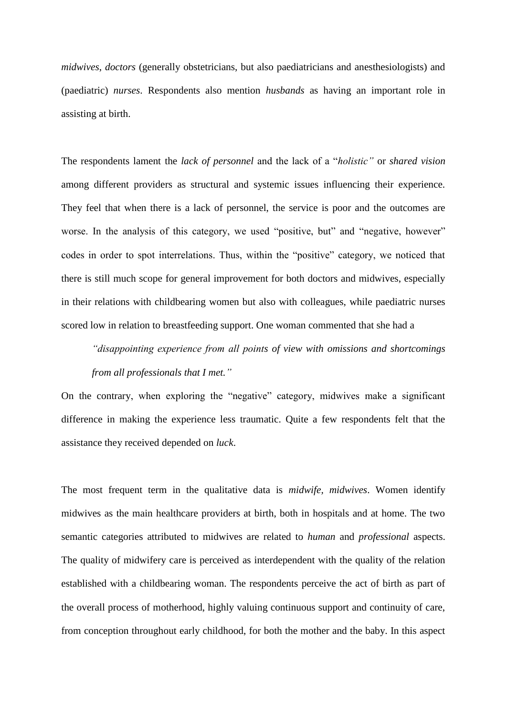*midwives*, *doctors* (generally obstetricians, but also paediatricians and anesthesiologists) and (paediatric) *nurses*. Respondents also mention *husbands* as having an important role in assisting at birth.

The respondents lament the *lack of personnel* and the lack of a "*holistic"* or *shared vision* among different providers as structural and systemic issues influencing their experience. They feel that when there is a lack of personnel, the service is poor and the outcomes are worse. In the analysis of this category, we used "positive, but" and "negative, however" codes in order to spot interrelations. Thus, within the "positive" category, we noticed that there is still much scope for general improvement for both doctors and midwives, especially in their relations with childbearing women but also with colleagues, while paediatric nurses scored low in relation to breastfeeding support. One woman commented that she had a

*"disappointing experience from all points of view with omissions and shortcomings from all professionals that I met."* 

On the contrary, when exploring the "negative" category, midwives make a significant difference in making the experience less traumatic. Quite a few respondents felt that the assistance they received depended on *luck*.

The most frequent term in the qualitative data is *midwife, midwives*. Women identify midwives as the main healthcare providers at birth, both in hospitals and at home. The two semantic categories attributed to midwives are related to *human* and *professional* aspects. The quality of midwifery care is perceived as interdependent with the quality of the relation established with a childbearing woman. The respondents perceive the act of birth as part of the overall process of motherhood, highly valuing continuous support and continuity of care, from conception throughout early childhood, for both the mother and the baby. In this aspect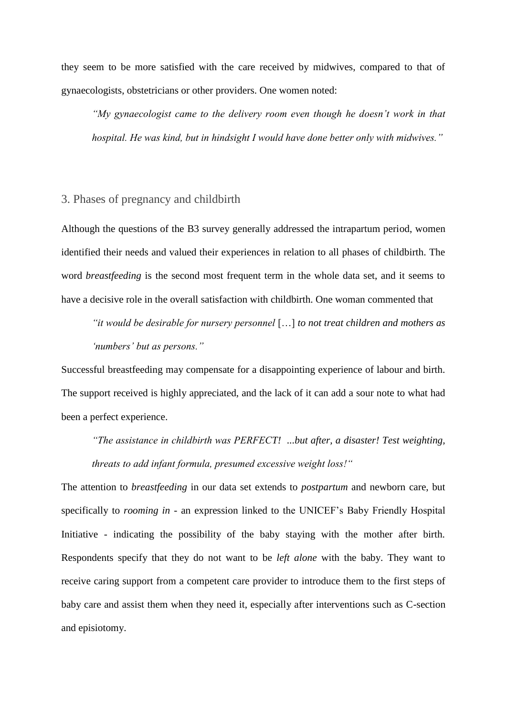they seem to be more satisfied with the care received by midwives, compared to that of gynaecologists, obstetricians or other providers. One women noted:

*"My gynaecologist came to the delivery room even though he doesn't work in that hospital. He was kind, but in hindsight I would have done better only with midwives."*

### 3. Phases of pregnancy and childbirth

Although the questions of the B3 survey generally addressed the intrapartum period, women identified their needs and valued their experiences in relation to all phases of childbirth. The word *breastfeeding* is the second most frequent term in the whole data set, and it seems to have a decisive role in the overall satisfaction with childbirth. One woman commented that

*"it would be desirable for nursery personnel* […] *to not treat children and mothers as 'numbers' but as persons."*

Successful breastfeeding may compensate for a disappointing experience of labour and birth. The support received is highly appreciated, and the lack of it can add a sour note to what had been a perfect experience.

*"The assistance in childbirth was PERFECT! ...but after, a disaster! Test weighting, threats to add infant formula, presumed excessive weight loss!"* 

The attention to *breastfeeding* in our data set extends to *postpartum* and newborn care, but specifically to *rooming in* - an expression linked to the UNICEF's Baby Friendly Hospital Initiative - indicating the possibility of the baby staying with the mother after birth. Respondents specify that they do not want to be *left alone* with the baby. They want to receive caring support from a competent care provider to introduce them to the first steps of baby care and assist them when they need it, especially after interventions such as C-section and episiotomy.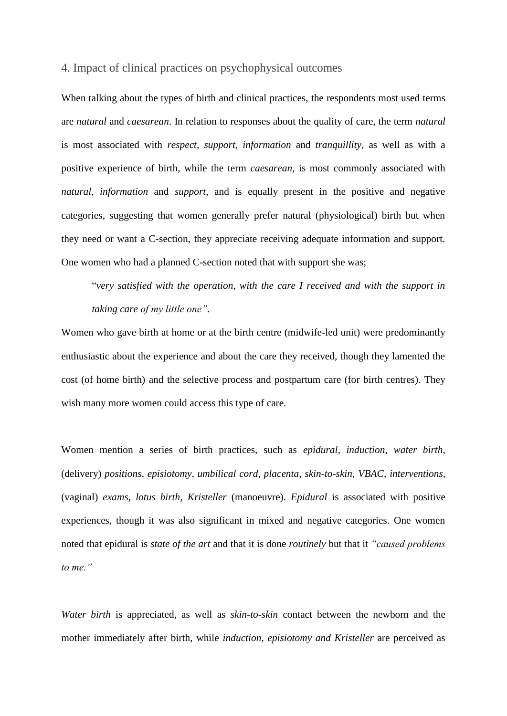### 4. Impact of clinical practices on psychophysical outcomes

When talking about the types of birth and clinical practices, the respondents most used terms are *natural* and *caesarean*. In relation to responses about the quality of care, the term *natural*  is most associated with *respect*, *support*, *information* and *tranquillity,* as well as with a positive experience of birth, while the term *caesarean*, is most commonly associated with *natural*, *information* and *support*, and is equally present in the positive and negative categories, suggesting that women generally prefer natural (physiological) birth but when they need or want a C-section, they appreciate receiving adequate information and support. One women who had a planned C-section noted that with support she was;

"*very satisfied with the operation, with the care I received and with the support in taking care of my little one"*.

Women who gave birth at home or at the birth centre (midwife-led unit) were predominantly enthusiastic about the experience and about the care they received, though they lamented the cost (of home birth) and the selective process and postpartum care (for birth centres). They wish many more women could access this type of care.

Women mention a series of birth practices, such as *epidural*, *induction*, *water birth*, (delivery) *positions*, *episiotomy*, *umbilical cord*, *placenta*, *skin-to-skin*, *VBAC*, *interventions*, (vaginal) *exams*, *lotus birth*, *Kristeller* (manoeuvre). *Epidural* is associated with positive experiences, though it was also significant in mixed and negative categories. One women noted that epidural is *state of the art* and that it is done *routinely* but that it *"caused problems to me."*

*Water birth* is appreciated, as well as *skin-to-skin* contact between the newborn and the mother immediately after birth, while *induction*, *episiotomy and Kristeller* are perceived as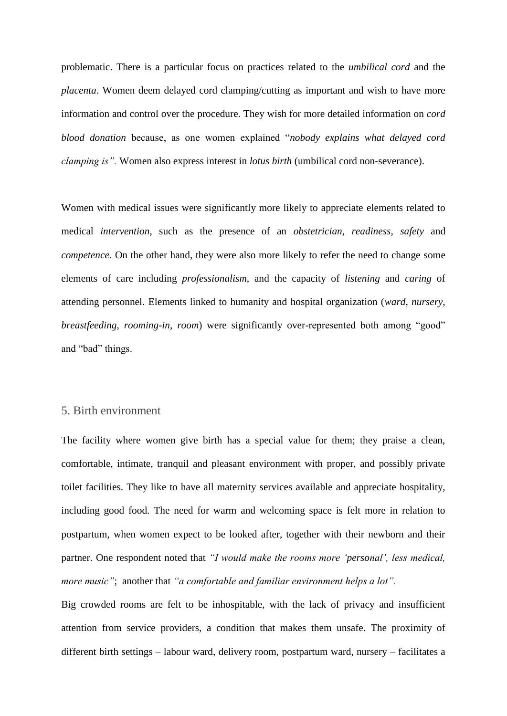problematic. There is a particular focus on practices related to the *umbilical cord* and the *placenta*. Women deem delayed cord clamping/cutting as important and wish to have more information and control over the procedure. They wish for more detailed information on *cord blood donation* because, as one women explained "*nobody explains what delayed cord clamping is".* Women also express interest in *lotus birth* (umbilical cord non-severance).

Women with medical issues were significantly more likely to appreciate elements related to medical *intervention*, such as the presence of an *obstetrician*, *readiness*, *safety* and *competence*. On the other hand, they were also more likely to refer the need to change some elements of care including *professionalism*, and the capacity of *listening* and *caring* of attending personnel. Elements linked to humanity and hospital organization (*ward*, *nursery*, *breastfeeding*, *rooming-in*, *room*) were significantly over-represented both among "good" and "bad" things.

### 5. Birth environment

The facility where women give birth has a special value for them; they praise a clean, comfortable, intimate, tranquil and pleasant environment with proper, and possibly private toilet facilities. They like to have all maternity services available and appreciate hospitality, including good food. The need for warm and welcoming space is felt more in relation to postpartum, when women expect to be looked after, together with their newborn and their partner. One respondent noted that *"I would make the rooms more 'personal', less medical, more music"*;another that *"a comfortable and familiar environment helps a lot".*

Big crowded rooms are felt to be inhospitable, with the lack of privacy and insufficient attention from service providers, a condition that makes them unsafe. The proximity of different birth settings – labour ward, delivery room, postpartum ward, nursery – facilitates a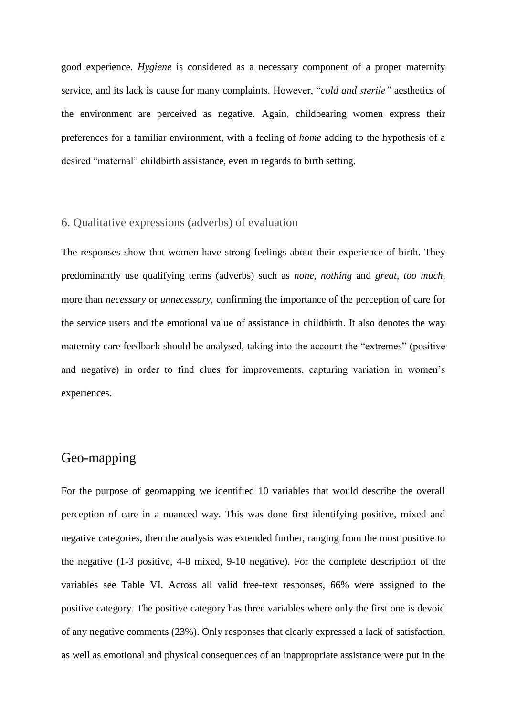good experience. *Hygiene* is considered as a necessary component of a proper maternity service, and its lack is cause for many complaints. However, "*cold and sterile"* aesthetics of the environment are perceived as negative. Again, childbearing women express their preferences for a familiar environment, with a feeling of *home* adding to the hypothesis of a desired "maternal" childbirth assistance, even in regards to birth setting.

### 6. Qualitative expressions (adverbs) of evaluation

The responses show that women have strong feelings about their experience of birth. They predominantly use qualifying terms (adverbs) such as *none*, *nothing* and *great*, *too much*, more than *necessary* or *unnecessary*, confirming the importance of the perception of care for the service users and the emotional value of assistance in childbirth. It also denotes the way maternity care feedback should be analysed, taking into the account the "extremes" (positive and negative) in order to find clues for improvements, capturing variation in women's experiences.

## Geo-mapping

For the purpose of geomapping we identified 10 variables that would describe the overall perception of care in a nuanced way. This was done first identifying positive, mixed and negative categories, then the analysis was extended further, ranging from the most positive to the negative (1-3 positive, 4-8 mixed, 9-10 negative). For the complete description of the variables see Table VI. Across all valid free-text responses, 66% were assigned to the positive category. The positive category has three variables where only the first one is devoid of any negative comments (23%). Only responses that clearly expressed a lack of satisfaction, as well as emotional and physical consequences of an inappropriate assistance were put in the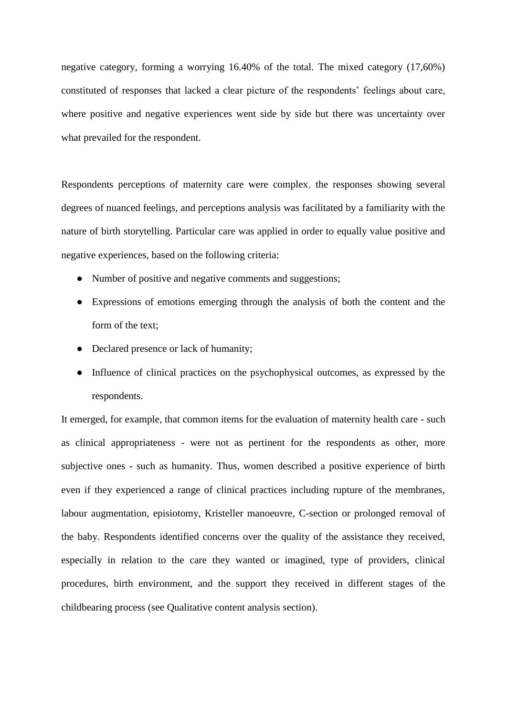negative category, forming a worrying 16.40% of the total. The mixed category (17,60%) constituted of responses that lacked a clear picture of the respondents' feelings about care, where positive and negative experiences went side by side but there was uncertainty over what prevailed for the respondent.

Respondents perceptions of maternity care were complex, the responses showing several degrees of nuanced feelings, and perceptions analysis was facilitated by a familiarity with the nature of birth storytelling. Particular care was applied in order to equally value positive and negative experiences, based on the following criteria:

- Number of positive and negative comments and suggestions;
- Expressions of emotions emerging through the analysis of both the content and the form of the text;
- Declared presence or lack of humanity;
- Influence of clinical practices on the psychophysical outcomes, as expressed by the respondents.

It emerged, for example, that common items for the evaluation of maternity health care - such as clinical appropriateness - were not as pertinent for the respondents as other, more subjective ones - such as humanity. Thus, women described a positive experience of birth even if they experienced a range of clinical practices including rupture of the membranes, labour augmentation, episiotomy, Kristeller manoeuvre, C-section or prolonged removal of the baby. Respondents identified concerns over the quality of the assistance they received, especially in relation to the care they wanted or imagined, type of providers, clinical procedures, birth environment, and the support they received in different stages of the childbearing process (see Qualitative content analysis section).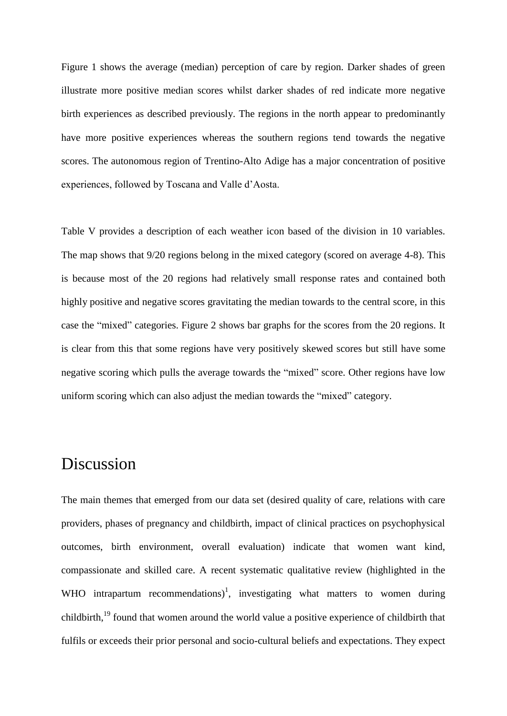Figure 1 shows the average (median) perception of care by region. Darker shades of green illustrate more positive median scores whilst darker shades of red indicate more negative birth experiences as described previously. The regions in the north appear to predominantly have more positive experiences whereas the southern regions tend towards the negative scores. The autonomous region of Trentino-Alto Adige has a major concentration of positive experiences, followed by Toscana and Valle d'Aosta.

Table V provides a description of each weather icon based of the division in 10 variables. The map shows that 9/20 regions belong in the mixed category (scored on average 4-8). This is because most of the 20 regions had relatively small response rates and contained both highly positive and negative scores gravitating the median towards to the central score, in this case the "mixed" categories. Figure 2 shows bar graphs for the scores from the 20 regions. It is clear from this that some regions have very positively skewed scores but still have some negative scoring which pulls the average towards the "mixed" score. Other regions have low uniform scoring which can also adjust the median towards the "mixed" category.

# Discussion

The main themes that emerged from our data set (desired quality of care, relations with care providers, phases of pregnancy and childbirth, impact of clinical practices on psychophysical outcomes, birth environment, overall evaluation) indicate that women want kind, compassionate and skilled care. A recent systematic qualitative review (highlighted in the WHO intrapartum recommendations)<sup>1</sup>, investigating what matters to women during childbirth,<sup>19</sup> found that women around the world value a positive experience of childbirth that fulfils or exceeds their prior personal and socio-cultural beliefs and expectations. They expect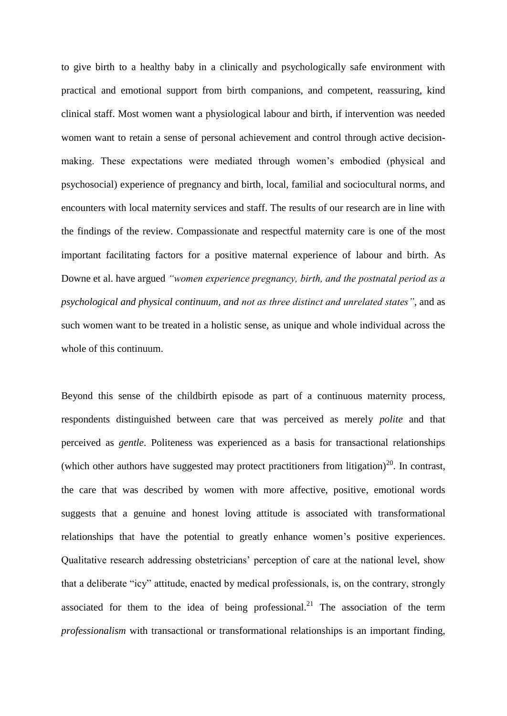to give birth to a healthy baby in a clinically and psychologically safe environment with practical and emotional support from birth companions, and competent, reassuring, kind clinical staff. Most women want a physiological labour and birth, if intervention was needed women want to retain a sense of personal achievement and control through active decisionmaking. These expectations were mediated through women's embodied (physical and psychosocial) experience of pregnancy and birth, local, familial and sociocultural norms, and encounters with local maternity services and staff. The results of our research are in line with the findings of the review. Compassionate and respectful maternity care is one of the most important facilitating factors for a positive maternal experience of labour and birth. As Downe et al. have argued *"women experience pregnancy, birth, and the postnatal period as a psychological and physical continuum, and not as three distinct and unrelated states"*, and as such women want to be treated in a holistic sense, as unique and whole individual across the whole of this continuum.

Beyond this sense of the childbirth episode as part of a continuous maternity process, respondents distinguished between care that was perceived as merely *polite* and that perceived as *gentle*. Politeness was experienced as a basis for transactional relationships (which other authors have suggested may protect practitioners from litigation)<sup>20</sup>. In contrast, the care that was described by women with more affective, positive, emotional words suggests that a genuine and honest loving attitude is associated with transformational relationships that have the potential to greatly enhance women's positive experiences. Qualitative research addressing obstetricians' perception of care at the national level, show that a deliberate "icy" attitude, enacted by medical professionals, is, on the contrary, strongly associated for them to the idea of being professional.<sup>21</sup> The association of the term *professionalism* with transactional or transformational relationships is an important finding,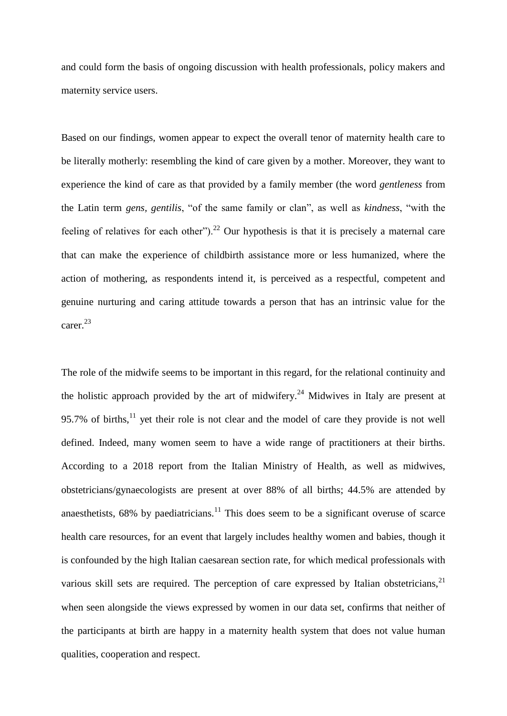and could form the basis of ongoing discussion with health professionals, policy makers and maternity service users.

Based on our findings, women appear to expect the overall tenor of maternity health care to be literally motherly: resembling the kind of care given by a mother. Moreover, they want to experience the kind of care as that provided by a family member (the word *gentleness* from the Latin term *gens, gentilis*, "of the same family or clan", as well as *kindness*, "with the feeling of relatives for each other").<sup>22</sup> Our hypothesis is that it is precisely a maternal care that can make the experience of childbirth assistance more or less humanized, where the action of mothering, as respondents intend it, is perceived as a respectful, competent and genuine nurturing and caring attitude towards a person that has an intrinsic value for the carer.<sup>23</sup>

The role of the midwife seems to be important in this regard, for the relational continuity and the holistic approach provided by the art of midwifery.<sup>24</sup> Midwives in Italy are present at 95.7% of births, $^{11}$  yet their role is not clear and the model of care they provide is not well defined. Indeed, many women seem to have a wide range of practitioners at their births. According to a 2018 report from the Italian Ministry of Health, as well as midwives, obstetricians/gynaecologists are present at over 88% of all births; 44.5% are attended by anaesthetists,  $68\%$  by paediatricians.<sup>11</sup> This does seem to be a significant overuse of scarce health care resources, for an event that largely includes healthy women and babies, though it is confounded by the high Italian caesarean section rate, for which medical professionals with various skill sets are required. The perception of care expressed by Italian obstetricians,  $21$ when seen alongside the views expressed by women in our data set, confirms that neither of the participants at birth are happy in a maternity health system that does not value human qualities, cooperation and respect.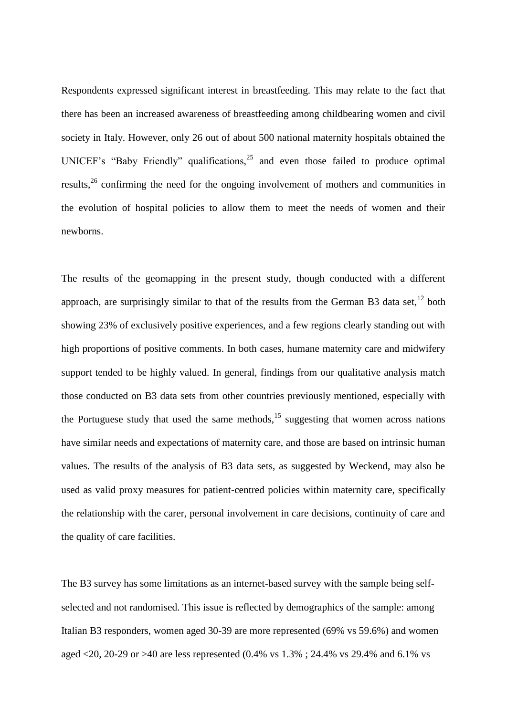Respondents expressed significant interest in breastfeeding. This may relate to the fact that there has been an increased awareness of breastfeeding among childbearing women and civil society in Italy. However, only 26 out of about 500 national maternity hospitals obtained the UNICEF's "Baby Friendly" qualifications,  $25$  and even those failed to produce optimal results,<sup>26</sup> confirming the need for the ongoing involvement of mothers and communities in the evolution of hospital policies to allow them to meet the needs of women and their newborns.

The results of the geomapping in the present study, though conducted with a different approach, are surprisingly similar to that of the results from the German B3 data set, $^{12}$  both showing 23% of exclusively positive experiences, and a few regions clearly standing out with high proportions of positive comments. In both cases, humane maternity care and midwifery support tended to be highly valued. In general, findings from our qualitative analysis match those conducted on B3 data sets from other countries previously mentioned, especially with the Portuguese study that used the same methods,<sup>15</sup> suggesting that women across nations have similar needs and expectations of maternity care, and those are based on intrinsic human values. The results of the analysis of B3 data sets, as suggested by Weckend, may also be used as valid proxy measures for patient-centred policies within maternity care, specifically the relationship with the carer, personal involvement in care decisions, continuity of care and the quality of care facilities.

The B3 survey has some limitations as an internet-based survey with the sample being selfselected and not randomised. This issue is reflected by demographics of the sample: among Italian B3 responders, women aged 30-39 are more represented (69% vs 59.6%) and women aged <20, 20-29 or >40 are less represented (0.4% vs 1.3% ; 24.4% vs 29.4% and 6.1% vs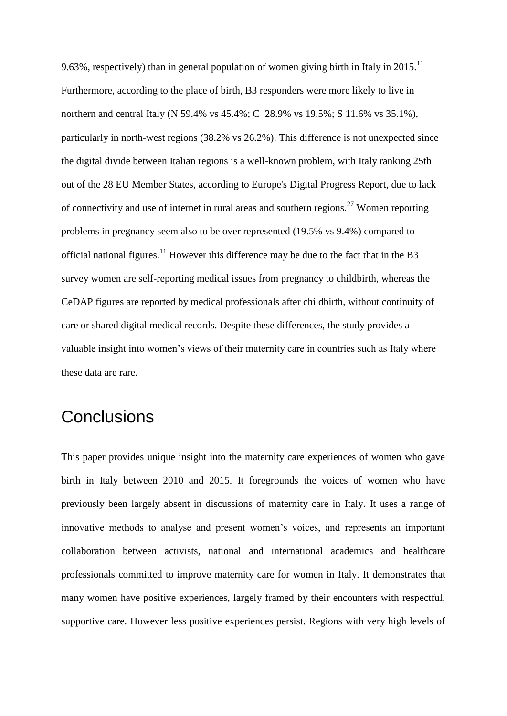9.63%, respectively) than in general population of women giving birth in Italy in 2015.<sup>11</sup> Furthermore, according to the place of birth, B3 responders were more likely to live in northern and central Italy (N 59.4% vs 45.4%; C 28.9% vs 19.5%; S 11.6% vs 35.1%), particularly in north-west regions (38.2% vs 26.2%). This difference is not unexpected since the digital divide between Italian regions is a well-known problem, with Italy ranking 25th out of the 28 EU Member States, according to Europe's Digital Progress Report, due to lack of connectivity and use of internet in rural areas and southern regions.<sup>27</sup> Women reporting problems in pregnancy seem also to be over represented (19.5% vs 9.4%) compared to official national figures.<sup>11</sup> However this difference may be due to the fact that in the B3 survey women are self-reporting medical issues from pregnancy to childbirth, whereas the CeDAP figures are reported by medical professionals after childbirth, without continuity of care or shared digital medical records. Despite these differences, the study provides a valuable insight into women's views of their maternity care in countries such as Italy where these data are rare.

# **Conclusions**

This paper provides unique insight into the maternity care experiences of women who gave birth in Italy between 2010 and 2015. It foregrounds the voices of women who have previously been largely absent in discussions of maternity care in Italy. It uses a range of innovative methods to analyse and present women's voices, and represents an important collaboration between activists, national and international academics and healthcare professionals committed to improve maternity care for women in Italy. It demonstrates that many women have positive experiences, largely framed by their encounters with respectful, supportive care. However less positive experiences persist. Regions with very high levels of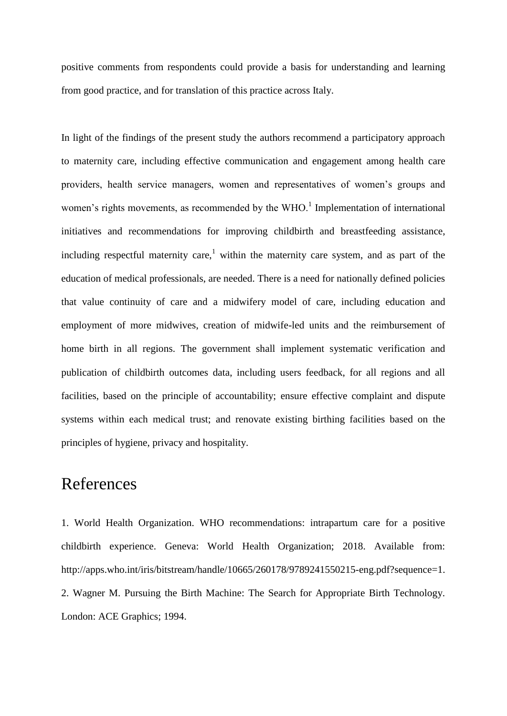positive comments from respondents could provide a basis for understanding and learning from good practice, and for translation of this practice across Italy.

In light of the findings of the present study the authors recommend a participatory approach to maternity care, including effective communication and engagement among health care providers, health service managers, women and representatives of women's groups and women's rights movements, as recommended by the  $WHO<sup>1</sup>$  Implementation of international initiatives and recommendations for improving childbirth and breastfeeding assistance, including respectful maternity care,<sup>1</sup> within the maternity care system, and as part of the education of medical professionals, are needed. There is a need for nationally defined policies that value continuity of care and a midwifery model of care, including education and employment of more midwives, creation of midwife-led units and the reimbursement of home birth in all regions. The government shall implement systematic verification and publication of childbirth outcomes data, including users feedback, for all regions and all facilities, based on the principle of accountability; ensure effective complaint and dispute systems within each medical trust; and renovate existing birthing facilities based on the principles of hygiene, privacy and hospitality.

# References

1. World Health Organization. WHO recommendations: intrapartum care for a positive childbirth experience. Geneva: World Health Organization; 2018. Available from: http://apps.who.int/iris/bitstream/handle/10665/260178/9789241550215-eng.pdf?sequence=1. 2. Wagner M. Pursuing the Birth Machine: The Search for Appropriate Birth Technology. London: ACE Graphics; 1994.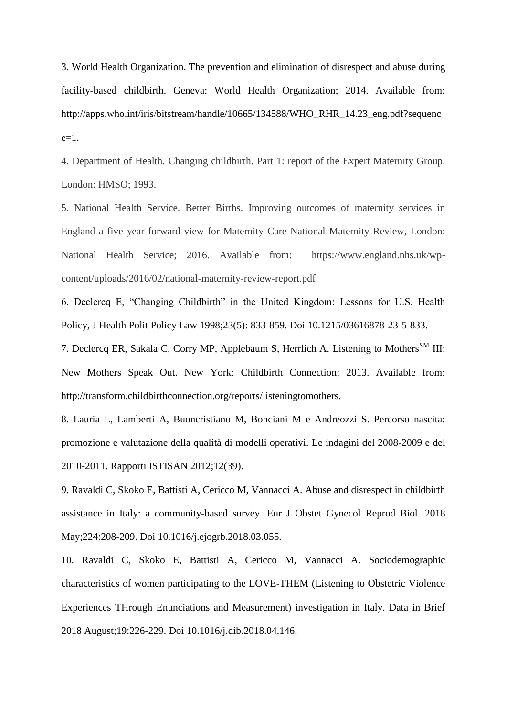3. World Health Organization. The prevention and elimination of disrespect and abuse during facility-based childbirth. Geneva: World Health Organization; 2014. Available from: http://apps.who.int/iris/bitstream/handle/10665/134588/WHO\_RHR\_14.23\_eng.pdf?sequenc  $e=1$ .

4. Department of Health. Changing childbirth. Part 1: report of the Expert Maternity Group. London: HMSO; 1993.

5. National Health Service. Better Births. Improving outcomes of maternity services in England a five year forward view for Maternity Care National Maternity Review, London: National Health Service; 2016. Available from: https://www.england.nhs.uk/wpcontent/uploads/2016/02/national-maternity-review-report.pdf

6. Declercq E, "Changing Childbirth" in the United Kingdom: Lessons for U.S. Health Policy, J Health Polit Policy Law 1998;23(5): 833-859. Doi 10.1215/03616878-23-5-833.

7. Declercq ER, Sakala C, Corry MP, Applebaum S, Herrlich A. Listening to Mothers<sup>SM</sup> III: New Mothers Speak Out. New York: Childbirth Connection; 2013. Available from: http://transform.childbirthconnection.org/reports/listeningtomothers.

8. Lauria L, Lamberti A, Buoncristiano M, Bonciani M e Andreozzi S. Percorso nascita: promozione e valutazione della qualità di modelli operativi. Le indagini del 2008-2009 e del 2010-2011. Rapporti ISTISAN 2012;12(39).

9. Ravaldi C, Skoko E, Battisti A, Cericco M, Vannacci A. Abuse and disrespect in childbirth assistance in Italy: a community-based survey. Eur J Obstet Gynecol Reprod Biol. 2018 May;224:208-209. Doi 10.1016/j.ejogrb.2018.03.055.

10. Ravaldi C, Skoko E, Battisti A, Cericco M, Vannacci A. Sociodemographic characteristics of women participating to the LOVE-THEM (Listening to Obstetric Violence Experiences THrough Enunciations and Measurement) investigation in Italy. Data in Brief 2018 August;19:226-229. Doi 10.1016/j.dib.2018.04.146.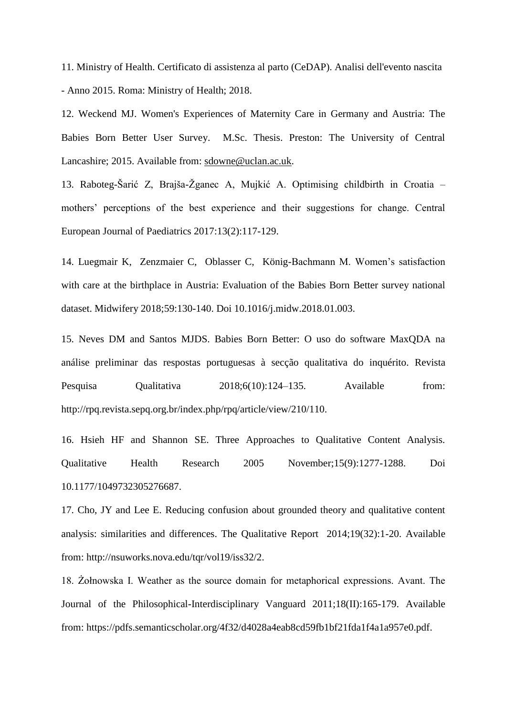11. Ministry of Health. Certificato di assistenza al parto (CeDAP). Analisi dell'evento nascita - Anno 2015. Roma: Ministry of Health; 2018.

12. Weckend MJ. Women's Experiences of Maternity Care in Germany and Austria: The Babies Born Better User Survey. M.Sc. Thesis. Preston: The University of Central Lancashire; 2015. Available from: [sdowne@uclan.ac.uk.](mailto:sdowne@uclan.ac.uk)

13. Raboteg-Šarić Z, Brajša-Žganec A, Mujkić A. Optimising childbirth in Croatia – mothers' perceptions of the best experience and their suggestions for change. Central European Journal of Paediatrics 2017:13(2):117-129.

14. Luegmair K, Zenzmaier C, Oblasser C, König-Bachmann M. Women's satisfaction with care at the birthplace in Austria: Evaluation of the Babies Born Better survey national dataset. Midwifery 2018;59:130-140. Doi 10.1016/j.midw.2018.01.003.

15. Neves DM and Santos MJDS. Babies Born Better: O uso do software MaxQDA na análise preliminar das respostas portuguesas à secção qualitativa do inquérito. Revista Pesquisa Qualitativa  $2018;6(10):124-135$ . Available from: http://rpq.revista.sepq.org.br/index.php/rpq/article/view/210/110.

16. Hsieh HF and Shannon SE. Three Approaches to Qualitative Content Analysis. Qualitative Health Research 2005 November;15(9):1277-1288. Doi 10.1177/1049732305276687.

17. Cho, JY and Lee E. Reducing confusion about grounded theory and qualitative content analysis: similarities and differences. The Qualitative Report 2014;19(32):1-20. Available from: http://nsuworks.nova.edu/tqr/vol19/iss32/2.

18. Zołnowska I. Weather as the source domain for metaphorical expressions. Avant. The Journal of the Philosophical-Interdisciplinary Vanguard 2011;18(II):165-179. Available from: https://pdfs.semanticscholar.org/4f32/d4028a4eab8cd59fb1bf21fda1f4a1a957e0.pdf.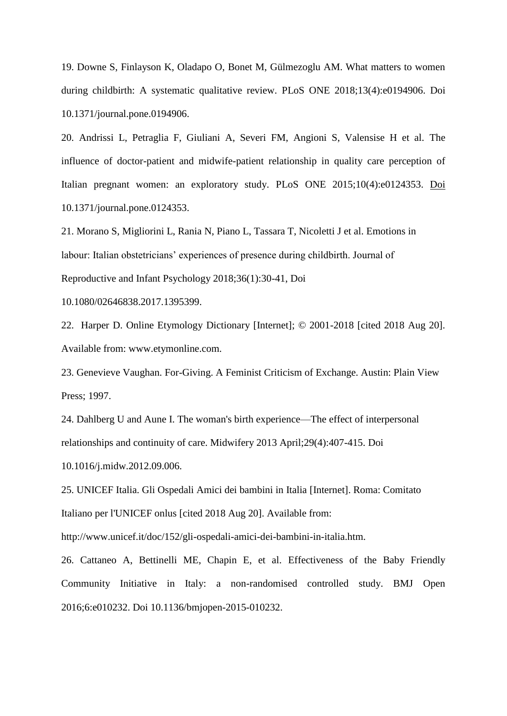19. Downe S, Finlayson K, Oladapo O, Bonet M, Gülmezoglu AM. What matters to women during childbirth: A systematic qualitative review. PLoS ONE 2018;13(4):e0194906. Doi 10.1371/journal.pone.0194906.

20. Andrissi L, Petraglia F, Giuliani A, Severi FM, Angioni S, Valensise H et al. The influence of doctor-patient and midwife-patient relationship in quality care perception of Italian pregnant women: an exploratory study. PLoS ONE 2015;10(4):e0124353. Doi 10.1371/journal.pone.0124353.

21. Morano S, Migliorini L, Rania N, Piano L, Tassara T, Nicoletti J et al. Emotions in labour: Italian obstetricians' experiences of presence during childbirth. Journal of Reproductive and Infant Psychology 2018;36(1):30-41, Doi

10.1080/02646838.2017.1395399.

22. Harper D. Online Etymology Dictionary [Internet]; © 2001-2018 [cited 2018 Aug 20]. Available from: www.etymonline.com.

23. Genevieve Vaughan. For-Giving. A Feminist Criticism of Exchange. Austin: Plain View Press; 1997.

24. Dahlberg U and Aune I. The woman's birth experience—The effect of interpersonal relationships and continuity of care. Midwifery 2013 April;29(4):407-415. Doi 10.1016/j.midw.2012.09.006.

25. UNICEF Italia. Gli Ospedali Amici dei bambini in Italia [Internet]. Roma: Comitato Italiano per l'UNICEF onlus [cited 2018 Aug 20]. Available from:

http://www.unicef.it/doc/152/gli-ospedali-amici-dei-bambini-in-italia.htm.

26. Cattaneo A, Bettinelli ME, Chapin E, et al. Effectiveness of the Baby Friendly Community Initiative in Italy: a non-randomised controlled study. BMJ Open 2016;6:e010232. Doi 10.1136/bmjopen-2015-010232.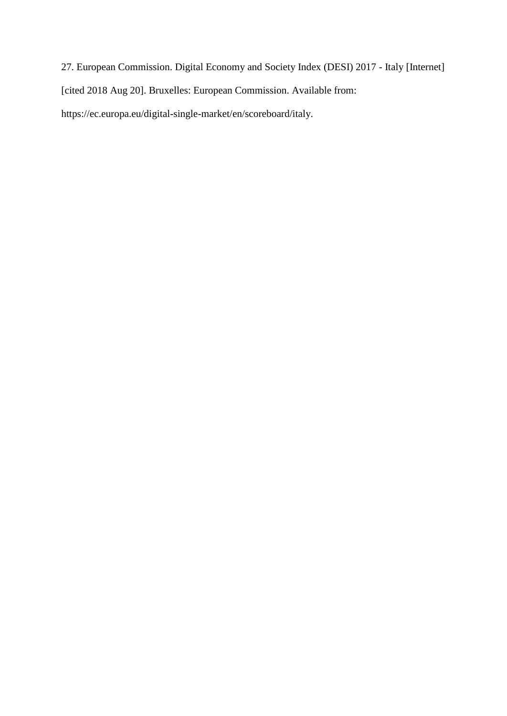27. European Commission. Digital Economy and Society Index (DESI) 2017 - Italy [Internet] [cited 2018 Aug 20]. Bruxelles: European Commission. Available from: https://ec.europa.eu/digital-single-market/en/scoreboard/italy.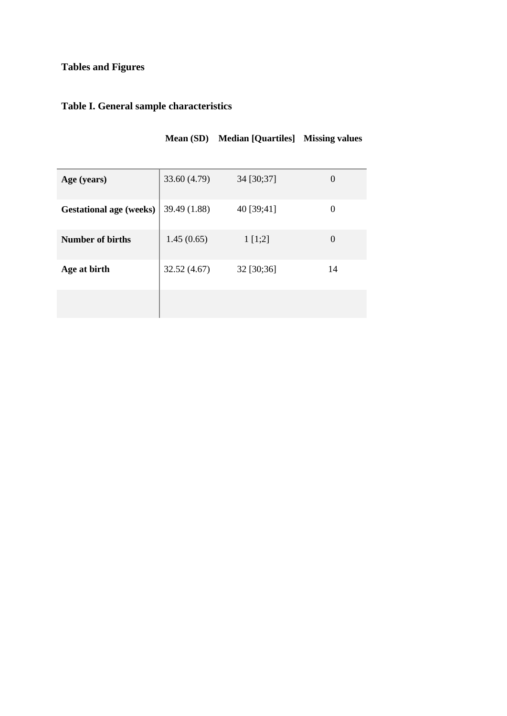## **Tables and Figures**

## **Table I. General sample characteristics**

| Age (years)                    | 33.60 (4.79) | 34 [30;37] | $\left( \right)$ |
|--------------------------------|--------------|------------|------------------|
| <b>Gestational age (weeks)</b> | 39.49 (1.88) | 40 [39;41] | 0                |
| <b>Number of births</b>        | 1.45(0.65)   | 1 [1;2]    | $\theta$         |
| Age at birth                   | 32.52(4.67)  | 32 [30;36] | 14               |
|                                |              |            |                  |

**Mean (SD) Median [Quartiles] Missing values**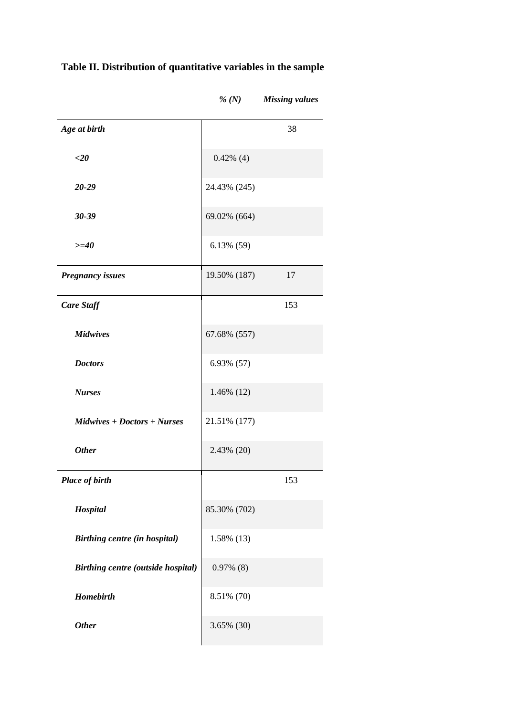| Age at birth                              |               | 38  |
|-------------------------------------------|---------------|-----|
| $<$ 20                                    | $0.42\%$ (4)  |     |
| 20-29                                     | 24.43% (245)  |     |
| $30 - 39$                                 | 69.02% (664)  |     |
| $>=10$                                    | $6.13\%$ (59) |     |
| <b>Pregnancy issues</b>                   | 19.50% (187)  | 17  |
| <b>Care Staff</b>                         |               | 153 |
| <b>Midwives</b>                           | 67.68% (557)  |     |
| <b>Doctors</b>                            | 6.93% (57)    |     |
| <b>Nurses</b>                             | 1.46% (12)    |     |
| $Midwives + Doctors + Nurses$             | 21.51% (177)  |     |
| <b>Other</b>                              | 2.43% (20)    |     |
| <b>Place of birth</b>                     |               | 153 |
| Hospital                                  | 85.30% (702)  |     |
| Birthing centre (in hospital)             | 1.58% (13)    |     |
| <b>Birthing centre (outside hospital)</b> | $0.97\%$ (8)  |     |
| <b>Homebirth</b>                          | 8.51% (70)    |     |
| <b>Other</b>                              | 3.65% (30)    |     |
|                                           |               |     |

# **Table II. Distribution of quantitative variables in the sample**

*% (N) Missing values*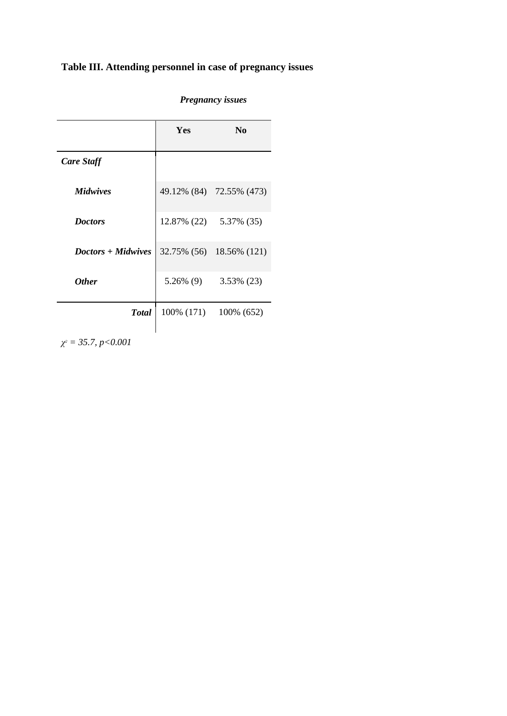# **Table III. Attending personnel in case of pregnancy issues**

|                    | Yes         | N <sub>0</sub>           |
|--------------------|-------------|--------------------------|
| <b>Care Staff</b>  |             |                          |
| <i>Midwives</i>    |             | 49.12% (84) 72.55% (473) |
| <b>Doctors</b>     | 12.87% (22) | 5.37% (35)               |
| Doctors + Midwives |             | 32.75% (56) 18.56% (121) |
| <b>Other</b>       | 5.26% (9)   | 3.53% (23)               |
| <b>Total</b>       | 100% (171)  | 100% (652)               |

## *Pregnancy issues*

*χ <sup>2</sup> = 35.7, p<0.001*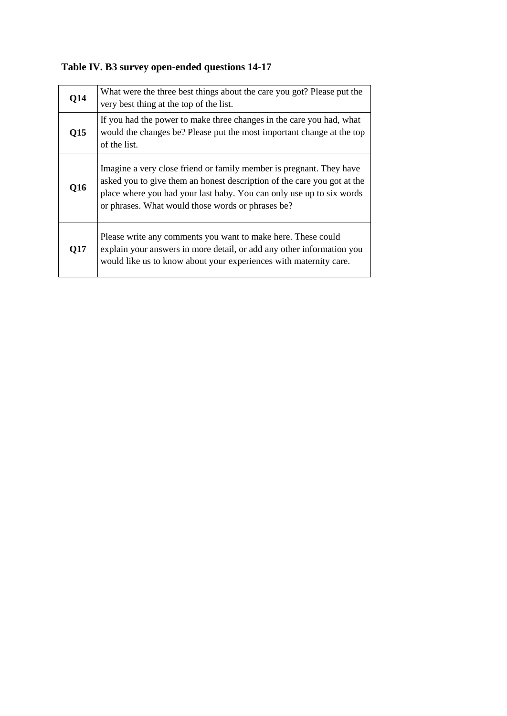**Table IV. B3 survey open-ended questions 14-17**

| Q14 | What were the three best things about the care you got? Please put the<br>very best thing at the top of the list.                                                                                                                                                           |
|-----|-----------------------------------------------------------------------------------------------------------------------------------------------------------------------------------------------------------------------------------------------------------------------------|
| Q15 | If you had the power to make three changes in the care you had, what<br>would the changes be? Please put the most important change at the top<br>of the list.                                                                                                               |
| Q16 | Imagine a very close friend or family member is pregnant. They have<br>asked you to give them an honest description of the care you got at the<br>place where you had your last baby. You can only use up to six words<br>or phrases. What would those words or phrases be? |
| Q17 | Please write any comments you want to make here. These could<br>explain your answers in more detail, or add any other information you<br>would like us to know about your experiences with maternity care.                                                                  |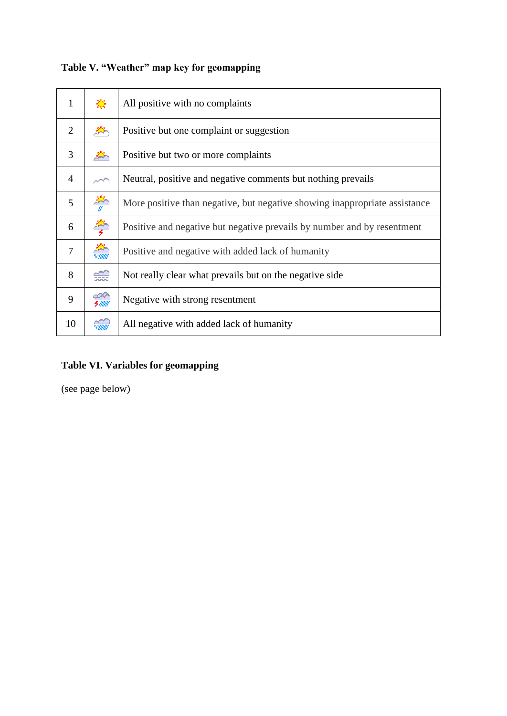| 1              | <b>Sept</b>          | All positive with no complaints                                            |
|----------------|----------------------|----------------------------------------------------------------------------|
| 2              | $\frac{1}{2}$        | Positive but one complaint or suggestion                                   |
| 3              | $\frac{2}{3}$        | Positive but two or more complaints                                        |
| $\overline{4}$ | $\sim$               | Neutral, positive and negative comments but nothing prevails               |
| 5              | $\frac{2}{\pi}$      | More positive than negative, but negative showing inappropriate assistance |
| 6              |                      | Positive and negative but negative prevails by number and by resentment    |
| $\tau$         | <b>RANGE OF</b>      | Positive and negative with added lack of humanity                          |
| 8              | ⇔                    | Not really clear what prevails but on the negative side                    |
| 9              | - 2007<br>5 MW       | Negative with strong resentment                                            |
| 10             | $\frac{1}{\sqrt{2}}$ | All negative with added lack of humanity                                   |

# **Table V. "Weather" map key for geomapping**

## **Table VI. Variables for geomapping**

(see page below)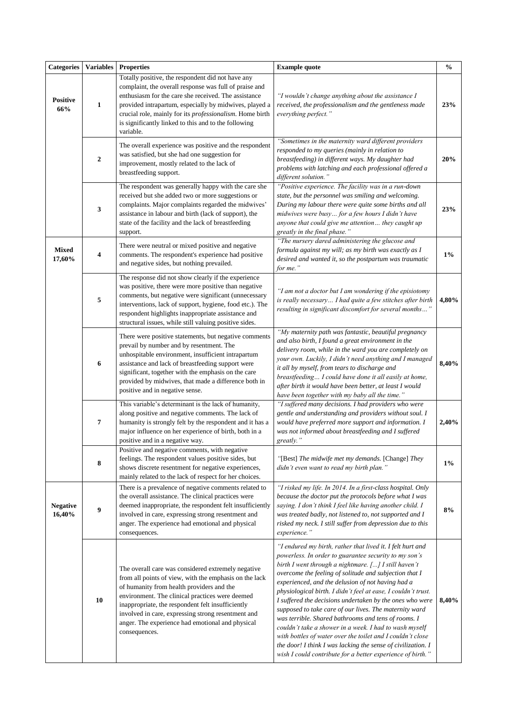| <b>Categories</b>         | <b>Variables</b> | <b>Properties</b>                                                                                                                                                                                                                                                                                                                                                                            | <b>Example quote</b>                                                                                                                                                                                                                                                                                                                                                                                                                                                                                                                                                                                                                                                                                                                                                                           | $\frac{0}{0}$ |
|---------------------------|------------------|----------------------------------------------------------------------------------------------------------------------------------------------------------------------------------------------------------------------------------------------------------------------------------------------------------------------------------------------------------------------------------------------|------------------------------------------------------------------------------------------------------------------------------------------------------------------------------------------------------------------------------------------------------------------------------------------------------------------------------------------------------------------------------------------------------------------------------------------------------------------------------------------------------------------------------------------------------------------------------------------------------------------------------------------------------------------------------------------------------------------------------------------------------------------------------------------------|---------------|
| <b>Positive</b><br>66%    | $\mathbf{1}$     | Totally positive, the respondent did not have any<br>complaint, the overall response was full of praise and<br>enthusiasm for the care she received. The assistance<br>provided intrapartum, especially by midwives, played a<br>crucial role, mainly for its professionalism. Home birth<br>is significantly linked to this and to the following<br>variable.                               | "I wouldn't change anything about the assistance I<br>received, the professionalism and the gentleness made<br>everything perfect."                                                                                                                                                                                                                                                                                                                                                                                                                                                                                                                                                                                                                                                            | 23%           |
|                           | $\boldsymbol{2}$ | The overall experience was positive and the respondent<br>was satisfied, but she had one suggestion for<br>improvement, mostly related to the lack of<br>breastfeeding support.                                                                                                                                                                                                              | "Sometimes in the maternity ward different providers<br>responded to my queries (mainly in relation to<br>breastfeeding) in different ways. My daughter had<br>problems with latching and each professional offered a<br>different solution."                                                                                                                                                                                                                                                                                                                                                                                                                                                                                                                                                  | 20%           |
|                           | 3                | The respondent was generally happy with the care she<br>received but she added two or more suggestions or<br>complaints. Major complaints regarded the midwives'<br>assistance in labour and birth (lack of support), the<br>state of the facility and the lack of breastfeeding<br>support.                                                                                                 | "Positive experience. The facility was in a run-down<br>state, but the personnel was smiling and welcoming.<br>During my labour there were quite some births and all<br>midwives were busy for a few hours I didn't have<br>anyone that could give me attention they caught up<br>greatly in the final phase."                                                                                                                                                                                                                                                                                                                                                                                                                                                                                 | 23%           |
| <b>Mixed</b><br>17,60%    | 4                | There were neutral or mixed positive and negative<br>comments. The respondent's experience had positive<br>and negative sides, but nothing prevailed.                                                                                                                                                                                                                                        | "The nursery dared administering the glucose and<br>formula against my will; as my birth was exactly as I<br>desired and wanted it, so the postpartum was traumatic<br>for me."                                                                                                                                                                                                                                                                                                                                                                                                                                                                                                                                                                                                                | $1\%$         |
|                           | 5                | The response did not show clearly if the experience<br>was positive, there were more positive than negative<br>comments, but negative were significant (unnecessary<br>interventions, lack of support, hygiene, food etc.). The<br>respondent highlights inappropriate assistance and<br>structural issues, while still valuing positive sides.                                              | "I am not a doctor but I am wondering if the episiotomy<br>is really necessary I had quite a few stitches after birth<br>resulting in significant discomfort for several months"                                                                                                                                                                                                                                                                                                                                                                                                                                                                                                                                                                                                               | 4,80%         |
|                           | 6                | There were positive statements, but negative comments<br>prevail by number and by resentment. The<br>unhospitable environment, insufficient intrapartum<br>assistance and lack of breastfeeding support were<br>significant, together with the emphasis on the care<br>provided by midwives, that made a difference both in<br>positive and in negative sense.                               | "My maternity path was fantastic, beautiful pregnancy<br>and also birth, I found a great environment in the<br>delivery room, while in the ward you are completely on<br>your own. Luckily, I didn't need anything and I managed<br>it all by myself, from tears to discharge and<br>breastfeeding I could have done it all easily at home,<br>after birth it would have been better, at least I would<br>have been together with my baby all the time."                                                                                                                                                                                                                                                                                                                                       | 8,40%         |
|                           | 7                | This variable's determinant is the lack of humanity,<br>along positive and negative comments. The lack of<br>humanity is strongly felt by the respondent and it has a<br>major influence on her experience of birth, both in a<br>positive and in a negative way.                                                                                                                            | "I suffered many decisions. I had providers who were<br>gentle and understanding and providers without soul. I<br>would have preferred more support and information. I<br>was not informed about breastfeeding and I suffered<br>greatly."                                                                                                                                                                                                                                                                                                                                                                                                                                                                                                                                                     | 2,40%         |
|                           | 8                | Positive and negative comments, with negative<br>feelings. The respondent values positive sides, but<br>shows discrete resentment for negative experiences,<br>mainly related to the lack of respect for her choices.                                                                                                                                                                        | "[Best] The midwife met my demands. [Change] They<br>didn't even want to read my birth plan."                                                                                                                                                                                                                                                                                                                                                                                                                                                                                                                                                                                                                                                                                                  | $1\%$         |
| <b>Negative</b><br>16,40% | 9                | There is a prevalence of negative comments related to<br>the overall assistance. The clinical practices were<br>deemed inappropriate, the respondent felt insufficiently<br>involved in care, expressing strong resentment and<br>anger. The experience had emotional and physical<br>consequences.                                                                                          | "I risked my life. In 2014. In a first-class hospital. Only<br>because the doctor put the protocols before what I was<br>saying. I don't think I feel like having another child. I<br>was treated badly, not listened to, not supported and I<br>risked my neck. I still suffer from depression due to this<br>experience."                                                                                                                                                                                                                                                                                                                                                                                                                                                                    | 8%            |
|                           | 10               | The overall care was considered extremely negative<br>from all points of view, with the emphasis on the lack<br>of humanity from health providers and the<br>environment. The clinical practices were deemed<br>inappropriate, the respondent felt insufficiently<br>involved in care, expressing strong resentment and<br>anger. The experience had emotional and physical<br>consequences. | "I endured my birth, rather that lived it. I felt hurt and<br>powerless. In order to guarantee security to my son's<br>birth I went through a nightmare. [] I still haven't<br>overcome the feeling of solitude and subjection that I<br>experienced, and the delusion of not having had a<br>physiological birth. I didn't feel at ease, I couldn't trust.<br>I suffered the decisions undertaken by the ones who were<br>supposed to take care of our lives. The maternity ward<br>was terrible. Shared bathrooms and tens of rooms. I<br>couldn't take a shower in a week. I had to wash myself<br>with bottles of water over the toilet and I couldn't close<br>the door! I think I was lacking the sense of civilization. I<br>wish I could contribute for a better experience of birth." | 8,40%         |